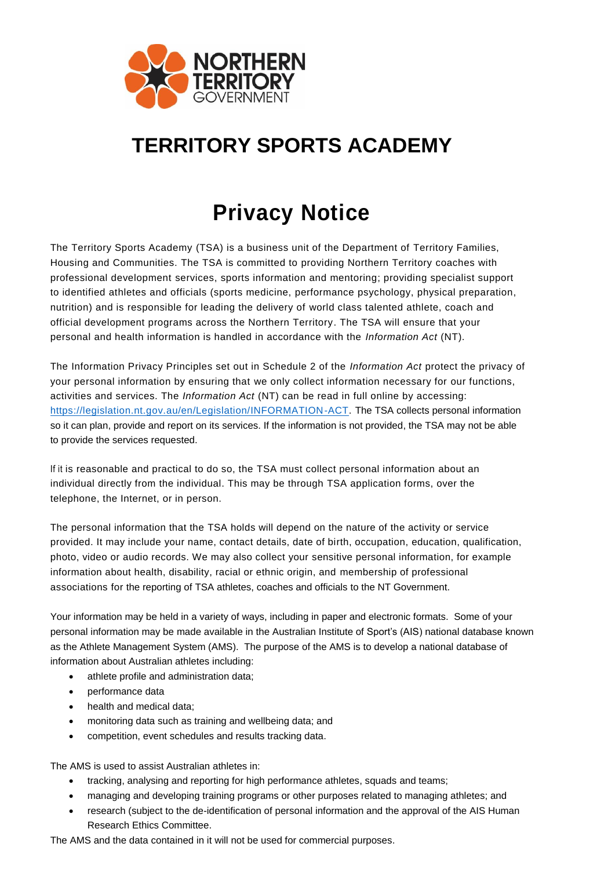

## **TERRITORY SPORTS ACADEMY**

## **Privacy Notice**

The Territory Sports Academy (TSA) is a business unit of the Department of Territory Families, Housing and Communities. The TSA is committed to providing Northern Territory coaches with professional development services, sports information and mentoring; providing specialist support to identified athletes and officials (sports medicine, performance psychology, physical preparation, nutrition) and is responsible for leading the delivery of world class talented athlete, coach and official development programs across the Northern Territory. The TSA will ensure that your personal and health information is handled in accordance with the *Information Act* (NT).

The Information Privacy Principles set out in Schedule 2 of the *Information Act* protect the privacy of your personal information by ensuring that we only collect information necessary for our functions, activities and services. The *Information Act* (NT) can be read in full online by accessing: [https://legislation.nt.gov.au/en/Legislation/INFORMATION-ACT.](https://legislation.nt.gov.au/en/Legislation/INFORMATION-ACT) The TSA collects personal information so it can plan, provide and report on its services. If the information is not provided, the TSA may not be able to provide the services requested.

If it is reasonable and practical to do so, the TSA must collect personal information about an individual directly from the individual. This may be through TSA application forms, over the telephone, the Internet, or in person.

The personal information that the TSA holds will depend on the nature of the activity or service provided. It may include your name, contact details, date of birth, occupation, education, qualification, photo, video or audio records. We may also collect your sensitive personal information, for example information about health, disability, racial or ethnic origin, and membership of professional associations for the reporting of TSA athletes, coaches and officials to the NT Government.

Your information may be held in a variety of ways, including in paper and electronic formats. Some of your personal information may be made available in the Australian Institute of Sport's (AIS) national database known as the Athlete Management System (AMS). The purpose of the AMS is to develop a national database of information about Australian athletes including:

- athlete profile and administration data;
- performance data
- health and medical data;
- monitoring data such as training and wellbeing data; and
- competition, event schedules and results tracking data.

The AMS is used to assist Australian athletes in:

- tracking, analysing and reporting for high performance athletes, squads and teams;
- managing and developing training programs or other purposes related to managing athletes; and
- research (subject to the de-identification of personal information and the approval of the AIS Human Research Ethics Committee.

The AMS and the data contained in it will not be used for commercial purposes.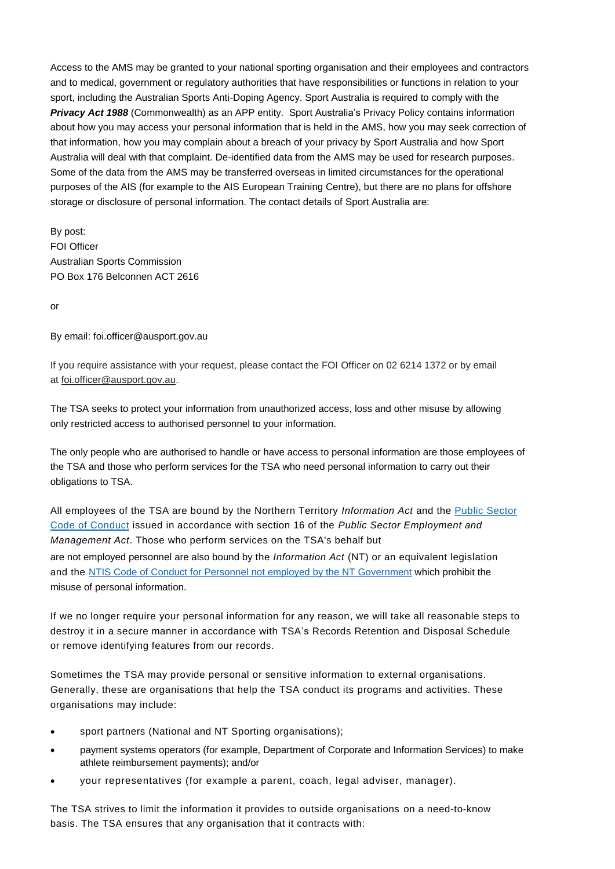Access to the AMS may be granted to your national sporting organisation and their employees and contractors and to medical, government or regulatory authorities that have responsibilities or functions in relation to your sport, including the Australian Sports Anti-Doping Agency. Sport Australia is required to comply with the *Privacy Act 1988* (Commonwealth) as an APP entity. Sport Australia's Privacy Policy contains information about how you may access your personal information that is held in the AMS, how you may seek correction of that information, how you may complain about a breach of your privacy by Sport Australia and how Sport Australia will deal with that complaint. De-identified data from the AMS may be used for research purposes. Some of the data from the AMS may be transferred overseas in limited circumstances for the operational purposes of the AIS (for example to the AIS European Training Centre), but there are no plans for offshore storage or disclosure of personal information. The contact details of Sport Australia are:

By post: FOI Officer Australian Sports Commission PO Box 176 Belconnen ACT 2616

or

By email: foi.officer@ausport.gov.au

If you require assistance with your request, please contact the FOI Officer on 02 6214 1372 or by email at [foi.officer@ausport.gov.au.](mailto:foi.officer@ausport.gov.au)

The TSA seeks to protect your information from unauthorized access, loss and other misuse by allowing only restricted access to authorised personnel to your information.

The only people who are authorised to handle or have access to personal information are those employees of the TSA and those who perform services for the TSA who need personal information to carry out their obligations to TSA.

All employees of the TSA are bound by the Northern Territory *Information Act* and the [Public Sector](https://ocpe.nt.gov.au/nt-public-sector-employment/Information-about-ntps-employment/code-of-conduct)  [Code of Conduct](https://ocpe.nt.gov.au/nt-public-sector-employment/Information-about-ntps-employment/code-of-conduct) issued in accordance with section 16 of the *Public Sector Employment and Management Act*. Those who perform services on the TSA's behalf but are not employed personnel are also bound by the *Information Act* (NT) or an equivalent legislation and the NTIS Code of Conduct for Personnel [not employed by the NT Government](https://dtc.nt.gov.au/__data/assets/pdf_file/0003/238152/NTIS-Code-of-Conduct-for-non-NTG-personnel-Sep-2016.pdf) which prohibit the misuse of personal information.

If we no longer require your personal information for any reason, we will take all reasonable steps to destroy it in a secure manner in accordance with TSA's Records Retention and Disposal Schedule or remove identifying features from our records.

Sometimes the TSA may provide personal or sensitive information to external organisations. Generally, these are organisations that help the TSA conduct its programs and activities. These organisations may include:

- sport partners (National and NT Sporting organisations);
- payment systems operators (for example, Department of Corporate and Information Services) to make athlete reimbursement payments); and/or
- your representatives (for example a parent, coach, legal adviser, manager).

The TSA strives to limit the information it provides to outside organisations on a need-to-know basis. The TSA ensures that any organisation that it contracts with: